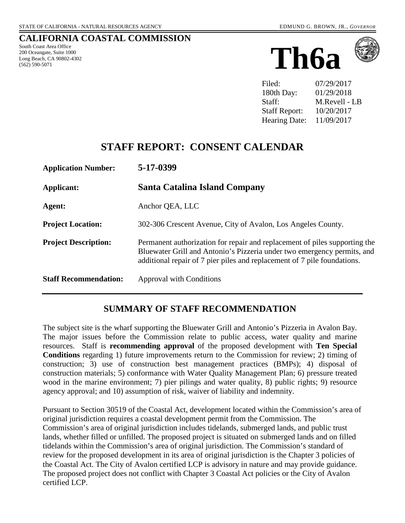#### **CALIFORNIA COASTAL COMMISSION**

South Coast Area Office 200 Oceangate, Suite 1000 Long Beach, CA 90802-4302 (562) 590-5071





Filed: 07/29/2017 180th Day: 01/29/2018 Staff: M.Revell - LB Staff Report: 10/20/2017 Hearing Date: 11/09/2017

# **STAFF REPORT: CONSENT CALENDAR**

| <b>Application Number:</b>   | 5-17-0399                                                                                                                                                                                                                         |
|------------------------------|-----------------------------------------------------------------------------------------------------------------------------------------------------------------------------------------------------------------------------------|
| <b>Applicant:</b>            | Santa Catalina Island Company                                                                                                                                                                                                     |
| Agent:                       | Anchor QEA, LLC                                                                                                                                                                                                                   |
| <b>Project Location:</b>     | 302-306 Crescent Avenue, City of Avalon, Los Angeles County.                                                                                                                                                                      |
| <b>Project Description:</b>  | Permanent authorization for repair and replacement of piles supporting the<br>Bluewater Grill and Antonio's Pizzeria under two emergency permits, and<br>additional repair of 7 pier piles and replacement of 7 pile foundations. |
| <b>Staff Recommendation:</b> | Approval with Conditions                                                                                                                                                                                                          |

### **SUMMARY OF STAFF RECOMMENDATION**

The subject site is the wharf supporting the Bluewater Grill and Antonio's Pizzeria in Avalon Bay. The major issues before the Commission relate to public access, water quality and marine resources. Staff is **recommending approval** of the proposed development with **Ten Special Conditions** regarding 1) future improvements return to the Commission for review; 2) timing of construction; 3) use of construction best management practices (BMPs); 4) disposal of construction materials; 5) conformance with Water Quality Management Plan; 6) pressure treated wood in the marine environment; 7) pier pilings and water quality, 8) public rights; 9) resource agency approval; and 10) assumption of risk, waiver of liability and indemnity.

Pursuant to Section 30519 of the Coastal Act, development located within the Commission's area of original jurisdiction requires a coastal development permit from the Commission. The Commission's area of original jurisdiction includes tidelands, submerged lands, and public trust lands, whether filled or unfilled. The proposed project is situated on submerged lands and on filled tidelands within the Commission's area of original jurisdiction. The Commission's standard of review for the proposed development in its area of original jurisdiction is the Chapter 3 policies of the Coastal Act. The City of Avalon certified LCP is advisory in nature and may provide guidance. The proposed project does not conflict with Chapter 3 Coastal Act policies or the City of Avalon certified LCP.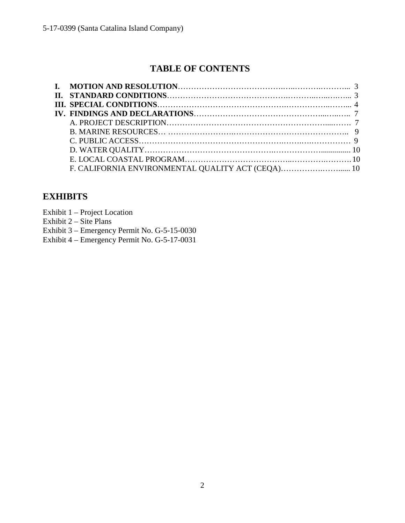# **TABLE OF CONTENTS**

# **EXHIBITS**

Exhibit 1 – Project Location

Exhibit  $2 - \text{Site Plans}$ 

Exhibit 3 – Emergency Permit No. G-5-15-0030

Exhibit 4 – Emergency Permit No. G-5-17-0031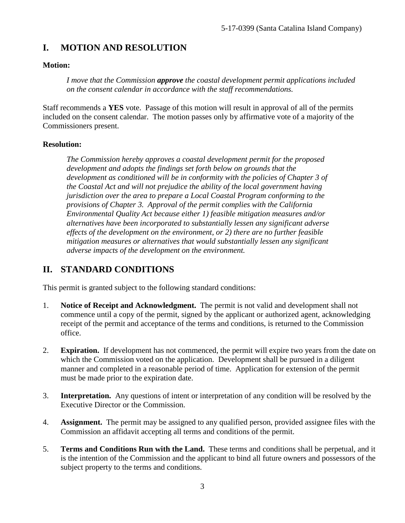# **I. MOTION AND RESOLUTION**

#### **Motion:**

*I move that the Commission approve the coastal development permit applications included on the consent calendar in accordance with the staff recommendations.*

Staff recommends a **YES** vote. Passage of this motion will result in approval of all of the permits included on the consent calendar. The motion passes only by affirmative vote of a majority of the Commissioners present.

#### **Resolution:**

*The Commission hereby approves a coastal development permit for the proposed development and adopts the findings set forth below on grounds that the development as conditioned will be in conformity with the policies of Chapter 3 of the Coastal Act and will not prejudice the ability of the local government having jurisdiction over the area to prepare a Local Coastal Program conforming to the provisions of Chapter 3. Approval of the permit complies with the California Environmental Quality Act because either 1) feasible mitigation measures and/or alternatives have been incorporated to substantially lessen any significant adverse effects of the development on the environment, or 2) there are no further feasible mitigation measures or alternatives that would substantially lessen any significant adverse impacts of the development on the environment.* 

## **II. STANDARD CONDITIONS**

This permit is granted subject to the following standard conditions:

- 1. **Notice of Receipt and Acknowledgment.** The permit is not valid and development shall not commence until a copy of the permit, signed by the applicant or authorized agent, acknowledging receipt of the permit and acceptance of the terms and conditions, is returned to the Commission office.
- 2. **Expiration.** If development has not commenced, the permit will expire two years from the date on which the Commission voted on the application. Development shall be pursued in a diligent manner and completed in a reasonable period of time. Application for extension of the permit must be made prior to the expiration date.
- 3. **Interpretation.** Any questions of intent or interpretation of any condition will be resolved by the Executive Director or the Commission.
- 4. **Assignment.** The permit may be assigned to any qualified person, provided assignee files with the Commission an affidavit accepting all terms and conditions of the permit.
- 5. **Terms and Conditions Run with the Land.** These terms and conditions shall be perpetual, and it is the intention of the Commission and the applicant to bind all future owners and possessors of the subject property to the terms and conditions.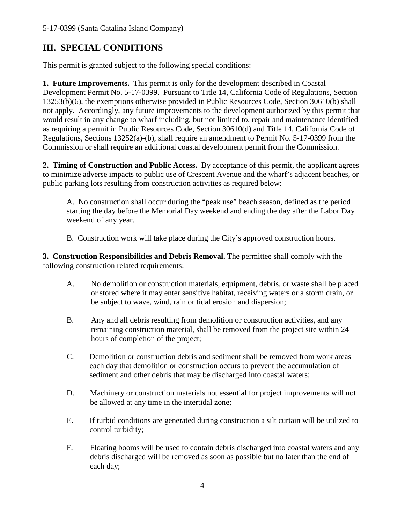# **III. SPECIAL CONDITIONS**

This permit is granted subject to the following special conditions:

**1. Future Improvements.** This permit is only for the development described in Coastal Development Permit No. 5-17-0399. Pursuant to Title 14, California Code of Regulations, Section 13253(b)(6), the exemptions otherwise provided in Public Resources Code, Section 30610(b) shall not apply. Accordingly, any future improvements to the development authorized by this permit that would result in any change to wharf including, but not limited to, repair and maintenance identified as requiring a permit in Public Resources Code, Section 30610(d) and Title 14, California Code of Regulations, Sections 13252(a)-(b), shall require an amendment to Permit No. 5-17-0399 from the Commission or shall require an additional coastal development permit from the Commission.

**2. Timing of Construction and Public Access.** By acceptance of this permit, the applicant agrees to minimize adverse impacts to public use of Crescent Avenue and the wharf's adjacent beaches, or public parking lots resulting from construction activities as required below:

 A. No construction shall occur during the "peak use" beach season, defined as the period starting the day before the Memorial Day weekend and ending the day after the Labor Day weekend of any year.

B. Construction work will take place during the City's approved construction hours.

**3. Construction Responsibilities and Debris Removal.** The permittee shall comply with the following construction related requirements:

- A. No demolition or construction materials, equipment, debris, or waste shall be placed or stored where it may enter sensitive habitat, receiving waters or a storm drain, or be subject to wave, wind, rain or tidal erosion and dispersion;
- B. Any and all debris resulting from demolition or construction activities, and any remaining construction material, shall be removed from the project site within 24 hours of completion of the project;
- C. Demolition or construction debris and sediment shall be removed from work areas each day that demolition or construction occurs to prevent the accumulation of sediment and other debris that may be discharged into coastal waters;
- D. Machinery or construction materials not essential for project improvements will not be allowed at any time in the intertidal zone;
- E. If turbid conditions are generated during construction a silt curtain will be utilized to control turbidity;
- F. Floating booms will be used to contain debris discharged into coastal waters and any debris discharged will be removed as soon as possible but no later than the end of each day;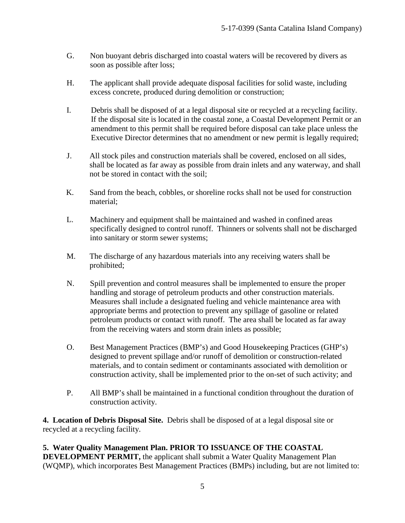- G. Non buoyant debris discharged into coastal waters will be recovered by divers as soon as possible after loss;
- H. The applicant shall provide adequate disposal facilities for solid waste, including excess concrete, produced during demolition or construction;
- I. Debris shall be disposed of at a legal disposal site or recycled at a recycling facility. If the disposal site is located in the coastal zone, a Coastal Development Permit or an amendment to this permit shall be required before disposal can take place unless the Executive Director determines that no amendment or new permit is legally required;
- J. All stock piles and construction materials shall be covered, enclosed on all sides, shall be located as far away as possible from drain inlets and any waterway, and shall not be stored in contact with the soil;
- K. Sand from the beach, cobbles, or shoreline rocks shall not be used for construction material;
- L. Machinery and equipment shall be maintained and washed in confined areas specifically designed to control runoff. Thinners or solvents shall not be discharged into sanitary or storm sewer systems;
- M. The discharge of any hazardous materials into any receiving waters shall be prohibited;
- N. Spill prevention and control measures shall be implemented to ensure the proper handling and storage of petroleum products and other construction materials. Measures shall include a designated fueling and vehicle maintenance area with appropriate berms and protection to prevent any spillage of gasoline or related petroleum products or contact with runoff. The area shall be located as far away from the receiving waters and storm drain inlets as possible;
- O. Best Management Practices (BMP's) and Good Housekeeping Practices (GHP's) designed to prevent spillage and/or runoff of demolition or construction-related materials, and to contain sediment or contaminants associated with demolition or construction activity, shall be implemented prior to the on-set of such activity; and
- P. All BMP's shall be maintained in a functional condition throughout the duration of construction activity.

**4. Location of Debris Disposal Site.** Debris shall be disposed of at a legal disposal site or recycled at a recycling facility.

**5. Water Quality Management Plan. PRIOR TO ISSUANCE OF THE COASTAL DEVELOPMENT PERMIT, the applicant shall submit a Water Quality Management Plan** (WQMP), which incorporates Best Management Practices (BMPs) including, but are not limited to: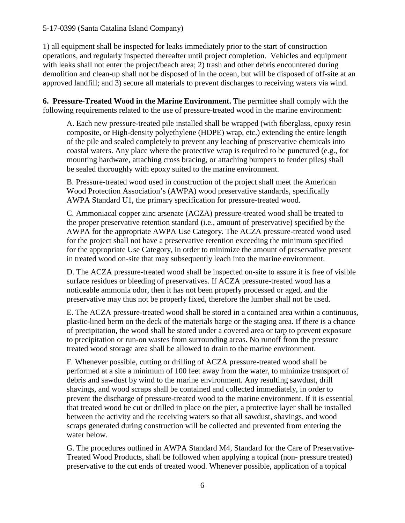#### 5-17-0399 (Santa Catalina Island Company)

1) all equipment shall be inspected for leaks immediately prior to the start of construction operations, and regularly inspected thereafter until project completion. Vehicles and equipment with leaks shall not enter the project/beach area; 2) trash and other debris encountered during demolition and clean-up shall not be disposed of in the ocean, but will be disposed of off-site at an approved landfill; and 3) secure all materials to prevent discharges to receiving waters via wind.

**6. Pressure-Treated Wood in the Marine Environment.** The permittee shall comply with the following requirements related to the use of pressure-treated wood in the marine environment:

A. Each new pressure-treated pile installed shall be wrapped (with fiberglass, epoxy resin composite, or High-density polyethylene (HDPE) wrap, etc.) extending the entire length of the pile and sealed completely to prevent any leaching of preservative chemicals into coastal waters. Any place where the protective wrap is required to be punctured (e.g., for mounting hardware, attaching cross bracing, or attaching bumpers to fender piles) shall be sealed thoroughly with epoxy suited to the marine environment.

B. Pressure-treated wood used in construction of the project shall meet the American Wood Protection Association's (AWPA) wood preservative standards, specifically AWPA Standard U1, the primary specification for pressure-treated wood.

C. Ammoniacal copper zinc arsenate (ACZA) pressure-treated wood shall be treated to the proper preservative retention standard (i.e., amount of preservative) specified by the AWPA for the appropriate AWPA Use Category. The ACZA pressure-treated wood used for the project shall not have a preservative retention exceeding the minimum specified for the appropriate Use Category, in order to minimize the amount of preservative present in treated wood on-site that may subsequently leach into the marine environment.

D. The ACZA pressure-treated wood shall be inspected on-site to assure it is free of visible surface residues or bleeding of preservatives. If ACZA pressure-treated wood has a noticeable ammonia odor, then it has not been properly processed or aged, and the preservative may thus not be properly fixed, therefore the lumber shall not be used.

E. The ACZA pressure-treated wood shall be stored in a contained area within a continuous, plastic-lined berm on the deck of the materials barge or the staging area. If there is a chance of precipitation, the wood shall be stored under a covered area or tarp to prevent exposure to precipitation or run-on wastes from surrounding areas. No runoff from the pressure treated wood storage area shall be allowed to drain to the marine environment.

F. Whenever possible, cutting or drilling of ACZA pressure-treated wood shall be performed at a site a minimum of 100 feet away from the water, to minimize transport of debris and sawdust by wind to the marine environment. Any resulting sawdust, drill shavings, and wood scraps shall be contained and collected immediately, in order to prevent the discharge of pressure-treated wood to the marine environment. If it is essential that treated wood be cut or drilled in place on the pier, a protective layer shall be installed between the activity and the receiving waters so that all sawdust, shavings, and wood scraps generated during construction will be collected and prevented from entering the water below.

G. The procedures outlined in AWPA Standard M4, Standard for the Care of Preservative-Treated Wood Products, shall be followed when applying a topical (non- pressure treated) preservative to the cut ends of treated wood. Whenever possible, application of a topical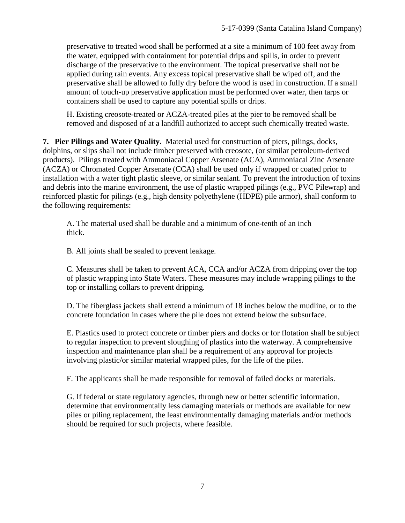preservative to treated wood shall be performed at a site a minimum of 100 feet away from the water, equipped with containment for potential drips and spills, in order to prevent discharge of the preservative to the environment. The topical preservative shall not be applied during rain events. Any excess topical preservative shall be wiped off, and the preservative shall be allowed to fully dry before the wood is used in construction. If a small amount of touch-up preservative application must be performed over water, then tarps or containers shall be used to capture any potential spills or drips.

H. Existing creosote-treated or ACZA-treated piles at the pier to be removed shall be removed and disposed of at a landfill authorized to accept such chemically treated waste.

**7. Pier Pilings and Water Quality.** Material used for construction of piers, pilings, docks, dolphins, or slips shall not include timber preserved with creosote, (or similar petroleum-derived products). Pilings treated with Ammoniacal Copper Arsenate (ACA), Ammoniacal Zinc Arsenate (ACZA) or Chromated Copper Arsenate (CCA) shall be used only if wrapped or coated prior to installation with a water tight plastic sleeve, or similar sealant. To prevent the introduction of toxins and debris into the marine environment, the use of plastic wrapped pilings (e.g., PVC Pilewrap) and reinforced plastic for pilings (e.g., high density polyethylene (HDPE) pile armor), shall conform to the following requirements:

A. The material used shall be durable and a minimum of one-tenth of an inch thick.

B. All joints shall be sealed to prevent leakage.

C. Measures shall be taken to prevent ACA, CCA and/or ACZA from dripping over the top of plastic wrapping into State Waters. These measures may include wrapping pilings to the top or installing collars to prevent dripping.

D. The fiberglass jackets shall extend a minimum of 18 inches below the mudline, or to the concrete foundation in cases where the pile does not extend below the subsurface.

E. Plastics used to protect concrete or timber piers and docks or for flotation shall be subject to regular inspection to prevent sloughing of plastics into the waterway. A comprehensive inspection and maintenance plan shall be a requirement of any approval for projects involving plastic/or similar material wrapped piles, for the life of the piles.

F. The applicants shall be made responsible for removal of failed docks or materials.

G. If federal or state regulatory agencies, through new or better scientific information, determine that environmentally less damaging materials or methods are available for new piles or piling replacement, the least environmentally damaging materials and/or methods should be required for such projects, where feasible.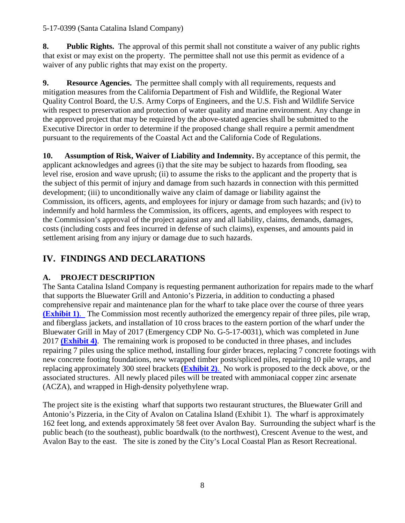#### 5-17-0399 (Santa Catalina Island Company)

**8. Public Rights.** The approval of this permit shall not constitute a waiver of any public rights that exist or may exist on the property. The permittee shall not use this permit as evidence of a waiver of any public rights that may exist on the property.

**9.** Resource Agencies. The permittee shall comply with all requirements, requests and mitigation measures from the California Department of Fish and Wildlife, the Regional Water Quality Control Board, the U.S. Army Corps of Engineers, and the U.S. Fish and Wildlife Service with respect to preservation and protection of water quality and marine environment. Any change in the approved project that may be required by the above-stated agencies shall be submitted to the Executive Director in order to determine if the proposed change shall require a permit amendment pursuant to the requirements of the Coastal Act and the California Code of Regulations.

**10. Assumption of Risk, Waiver of Liability and Indemnity.** By acceptance of this permit, the applicant acknowledges and agrees (i) that the site may be subject to hazards from flooding, sea level rise, erosion and wave uprush; (ii) to assume the risks to the applicant and the property that is the subject of this permit of injury and damage from such hazards in connection with this permitted development; (iii) to unconditionally waive any claim of damage or liability against the Commission, its officers, agents, and employees for injury or damage from such hazards; and (iv) to indemnify and hold harmless the Commission, its officers, agents, and employees with respect to the Commission's approval of the project against any and all liability, claims, demands, damages, costs (including costs and fees incurred in defense of such claims), expenses, and amounts paid in settlement arising from any injury or damage due to such hazards.

# **IV. FINDINGS AND DECLARATIONS**

### **A. PROJECT DESCRIPTION**

The Santa Catalina Island Company is requesting permanent authorization for repairs made to the wharf that supports the Bluewater Grill and Antonio's Pizzeria, in addition to conducting a phased comprehensive repair and maintenance plan for the wharf to take place over the course of three years **[\(Exhibit 1\)](https://documents.coastal.ca.gov/reports/2017/11/Th6a/Th6a-11-2017-exhibits.pdf)**. The Commission most recently authorized the emergency repair of three piles, pile wrap, and fiberglass jackets, and installation of 10 cross braces to the eastern portion of the wharf under the Bluewater Grill in May of 2017 (Emergency CDP No. G-5-17-0031), which was completed in June 2017 **[\(Exhibit 4\)](https://documents.coastal.ca.gov/reports/2017/11/Th6a/Th6a-11-2017-exhibits.pdf)**. The remaining work is proposed to be conducted in three phases, and includes repairing 7 piles using the splice method, installing four girder braces, replacing 7 concrete footings with new concrete footing foundations, new wrapped timber posts/spliced piles, repairing 10 pile wraps, and replacing approximately 300 steel brackets **[\(Exhibit 2\)](https://documents.coastal.ca.gov/reports/2017/11/Th6a/Th6a-11-2017-exhibits.pdf)**. No work is proposed to the deck above, or the associated structures. All newly placed piles will be treated with ammoniacal copper zinc arsenate (ACZA), and wrapped in High-density polyethylene wrap.

The project site is the existing wharf that supports two restaurant structures, the Bluewater Grill and Antonio's Pizzeria, in the City of Avalon on Catalina Island (Exhibit 1). The wharf is approximately 162 feet long, and extends approximately 58 feet over Avalon Bay. Surrounding the subject wharf is the public beach (to the southeast), public boardwalk (to the northwest), Crescent Avenue to the west, and Avalon Bay to the east. The site is zoned by the City's Local Coastal Plan as Resort Recreational.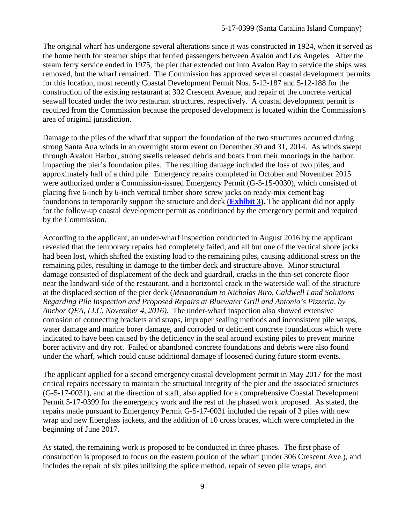The original wharf has undergone several alterations since it was constructed in 1924, when it served as the home berth for steamer ships that ferried passengers between Avalon and Los Angeles. After the steam ferry service ended in 1975, the pier that extended out into Avalon Bay to service the ships was removed, but the wharf remained. The Commission has approved several coastal development permits for this location, most recently Coastal Development Permit Nos. 5-12-187 and 5-12-188 for the construction of the existing restaurant at 302 Crescent Avenue, and repair of the concrete vertical seawall located under the two restaurant structures, respectively. A coastal development permit is required from the Commission because the proposed development is located within the Commission's area of original jurisdiction.

Damage to the piles of the wharf that support the foundation of the two structures occurred during strong Santa Ana winds in an overnight storm event on December 30 and 31, 2014. As winds swept through Avalon Harbor, strong swells released debris and boats from their moorings in the harbor, impacting the pier's foundation piles. The resulting damage included the loss of two piles, and approximately half of a third pile. Emergency repairs completed in October and November 2015 were authorized under a Commission-issued Emergency Permit (G-5-15-0030), which consisted of placing five 6-inch by 6-inch vertical timber shore screw jacks on ready-mix cement bag foundations to temporarily support the structure and deck (**[Exhibit 3\)](https://documents.coastal.ca.gov/reports/2017/11/Th6a/Th6a-11-2017-exhibits.pdf).** The applicant did not apply for the follow-up coastal development permit as conditioned by the emergency permit and required by the Commission.

According to the applicant, an under-wharf inspection conducted in August 2016 by the applicant revealed that the temporary repairs had completely failed, and all but one of the vertical shore jacks had been lost, which shifted the existing load to the remaining piles, causing additional stress on the remaining piles, resulting in damage to the timber deck and structure above. Minor structural damage consisted of displacement of the deck and guardrail, cracks in the thin-set concrete floor near the landward side of the restaurant, and a horizontal crack in the waterside wall of the structure at the displaced section of the pier deck (*Memorandum to Nicholas Biro, Caldwell Land Solutions Regarding Pile Inspection and Proposed Repairs at Bluewater Grill and Antonio's Pizzeria, by Anchor QEA, LLC, November 4, 2016)*. The under-wharf inspection also showed extensive corrosion of connecting brackets and straps, improper sealing methods and inconsistent pile wraps, water damage and marine borer damage, and corroded or deficient concrete foundations which were indicated to have been caused by the deficiency in the seal around existing piles to prevent marine borer activity and dry rot. Failed or abandoned concrete foundations and debris were also found under the wharf, which could cause additional damage if loosened during future storm events.

The applicant applied for a second emergency coastal development permit in May 2017 for the most critical repairs necessary to maintain the structural integrity of the pier and the associated structures (G-5-17-0031), and at the direction of staff, also applied for a comprehensive Coastal Development Permit 5-17-0399 for the emergency work and the rest of the phased work proposed. As stated, the repairs made pursuant to Emergency Permit G-5-17-0031 included the repair of 3 piles with new wrap and new fiberglass jackets, and the addition of 10 cross braces, which were completed in the beginning of June 2017.

As stated, the remaining work is proposed to be conducted in three phases. The first phase of construction is proposed to focus on the eastern portion of the wharf (under 306 Crescent Ave.), and includes the repair of six piles utilizing the splice method, repair of seven pile wraps, and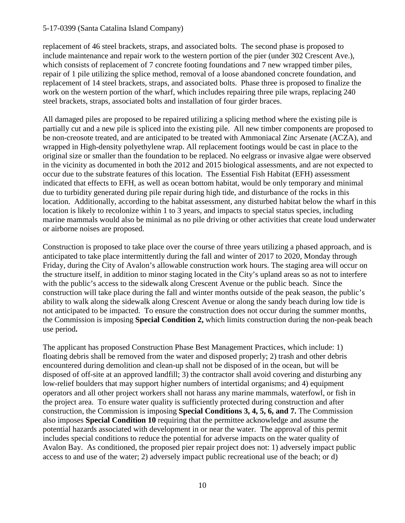#### 5-17-0399 (Santa Catalina Island Company)

replacement of 46 steel brackets, straps, and associated bolts. The second phase is proposed to include maintenance and repair work to the western portion of the pier (under 302 Crescent Ave.), which consists of replacement of 7 concrete footing foundations and 7 new wrapped timber piles, repair of 1 pile utilizing the splice method, removal of a loose abandoned concrete foundation, and replacement of 14 steel brackets, straps, and associated bolts. Phase three is proposed to finalize the work on the western portion of the wharf, which includes repairing three pile wraps, replacing 240 steel brackets, straps, associated bolts and installation of four girder braces.

All damaged piles are proposed to be repaired utilizing a splicing method where the existing pile is partially cut and a new pile is spliced into the existing pile. All new timber components are proposed to be non-creosote treated, and are anticipated to be treated with Ammoniacal Zinc Arsenate (ACZA), and wrapped in High-density polyethylene wrap. All replacement footings would be cast in place to the original size or smaller than the foundation to be replaced. No eelgrass or invasive algae were observed in the vicinity as documented in both the 2012 and 2015 biological assessments, and are not expected to occur due to the substrate features of this location. The Essential Fish Habitat (EFH) assessment indicated that effects to EFH, as well as ocean bottom habitat, would be only temporary and minimal due to turbidity generated during pile repair during high tide, and disturbance of the rocks in this location. Additionally, according to the habitat assessment, any disturbed habitat below the wharf in this location is likely to recolonize within 1 to 3 years, and impacts to special status species, including marine mammals would also be minimal as no pile driving or other activities that create loud underwater or airborne noises are proposed.

Construction is proposed to take place over the course of three years utilizing a phased approach, and is anticipated to take place intermittently during the fall and winter of 2017 to 2020, Monday through Friday, during the City of Avalon's allowable construction work hours. The staging area will occur on the structure itself, in addition to minor staging located in the City's upland areas so as not to interfere with the public's access to the sidewalk along Crescent Avenue or the public beach. Since the construction will take place during the fall and winter months outside of the peak season, the public's ability to walk along the sidewalk along Crescent Avenue or along the sandy beach during low tide is not anticipated to be impacted. To ensure the construction does not occur during the summer months, the Commission is imposing **Special Condition 2,** which limits construction during the non-peak beach use period**.** 

The applicant has proposed Construction Phase Best Management Practices, which include: 1) floating debris shall be removed from the water and disposed properly; 2) trash and other debris encountered during demolition and clean-up shall not be disposed of in the ocean, but will be disposed of off-site at an approved landfill; 3) the contractor shall avoid covering and disturbing any low-relief boulders that may support higher numbers of intertidal organisms; and 4) equipment operators and all other project workers shall not harass any marine mammals, waterfowl, or fish in the project area. To ensure water quality is sufficiently protected during construction and after construction, the Commission is imposing **Special Conditions 3, 4, 5, 6, and 7.** The Commission also imposes **Special Condition 10** requiring that the permittee acknowledge and assume the potential hazards associated with development in or near the water. The approval of this permit includes special conditions to reduce the potential for adverse impacts on the water quality of Avalon Bay. As conditioned, the proposed pier repair project does not: 1) adversely impact public access to and use of the water; 2) adversely impact public recreational use of the beach; or d)